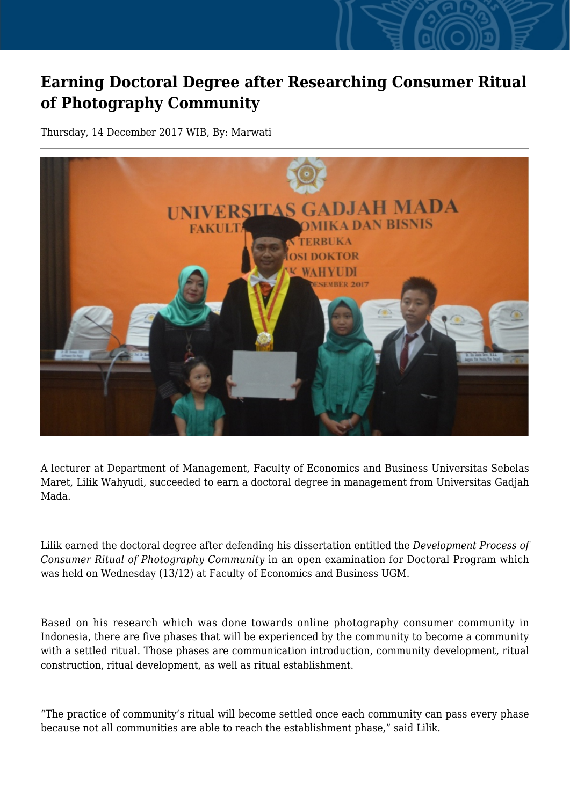## **Earning Doctoral Degree after Researching Consumer Ritual of Photography Community**

Thursday, 14 December 2017 WIB, By: Marwati



A lecturer at Department of Management, Faculty of Economics and Business Universitas Sebelas Maret, Lilik Wahyudi, succeeded to earn a doctoral degree in management from Universitas Gadjah Mada.

Lilik earned the doctoral degree after defending his dissertation entitled the *Development Process of Consumer Ritual of Photography Community* in an open examination for Doctoral Program which was held on Wednesday (13/12) at Faculty of Economics and Business UGM.

Based on his research which was done towards online photography consumer community in Indonesia, there are five phases that will be experienced by the community to become a community with a settled ritual. Those phases are communication introduction, community development, ritual construction, ritual development, as well as ritual establishment.

"The practice of community's ritual will become settled once each community can pass every phase because not all communities are able to reach the establishment phase," said Lilik.